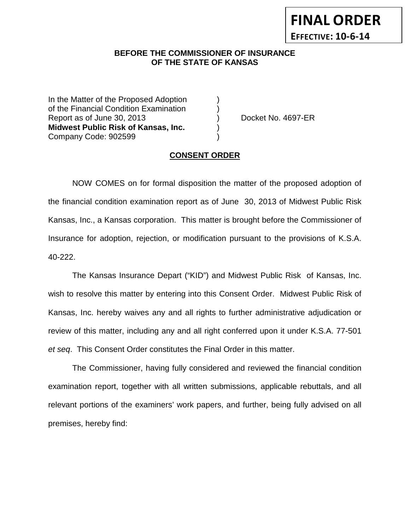**FINAL ORDER EFFECTIVE: 10-6-14**

### **BEFORE THE COMMISSIONER OF INSURANCE OF THE STATE OF KANSAS**

In the Matter of the Proposed Adoption of the Financial Condition Examination ) Report as of June 30, 2013 (a) Cocket No. 4697-ER **Midwest Public Risk of Kansas, Inc.** ) Company Code: 902599 )

#### **CONSENT ORDER**

NOW COMES on for formal disposition the matter of the proposed adoption of the financial condition examination report as of June 30, 2013 of Midwest Public Risk Kansas, Inc., a Kansas corporation. This matter is brought before the Commissioner of Insurance for adoption, rejection, or modification pursuant to the provisions of K.S.A. 40-222.

The Kansas Insurance Depart ("KID") and Midwest Public Risk of Kansas, Inc. wish to resolve this matter by entering into this Consent Order. Midwest Public Risk of Kansas, Inc. hereby waives any and all rights to further administrative adjudication or review of this matter, including any and all right conferred upon it under K.S.A. 77-501 *et seq*. This Consent Order constitutes the Final Order in this matter.

The Commissioner, having fully considered and reviewed the financial condition examination report, together with all written submissions, applicable rebuttals, and all relevant portions of the examiners' work papers, and further, being fully advised on all premises, hereby find: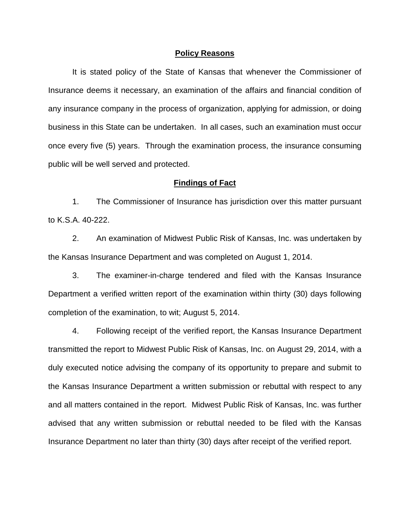#### **Policy Reasons**

It is stated policy of the State of Kansas that whenever the Commissioner of Insurance deems it necessary, an examination of the affairs and financial condition of any insurance company in the process of organization, applying for admission, or doing business in this State can be undertaken. In all cases, such an examination must occur once every five (5) years. Through the examination process, the insurance consuming public will be well served and protected.

#### **Findings of Fact**

1. The Commissioner of Insurance has jurisdiction over this matter pursuant to K.S.A. 40-222.

2. An examination of Midwest Public Risk of Kansas, Inc. was undertaken by the Kansas Insurance Department and was completed on August 1, 2014.

3. The examiner-in-charge tendered and filed with the Kansas Insurance Department a verified written report of the examination within thirty (30) days following completion of the examination, to wit; August 5, 2014.

4. Following receipt of the verified report, the Kansas Insurance Department transmitted the report to Midwest Public Risk of Kansas, Inc. on August 29, 2014, with a duly executed notice advising the company of its opportunity to prepare and submit to the Kansas Insurance Department a written submission or rebuttal with respect to any and all matters contained in the report. Midwest Public Risk of Kansas, Inc. was further advised that any written submission or rebuttal needed to be filed with the Kansas Insurance Department no later than thirty (30) days after receipt of the verified report.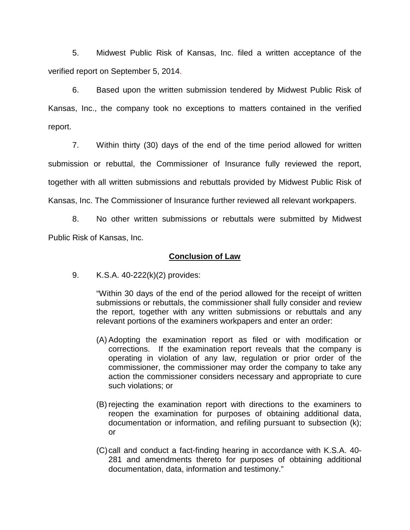5. Midwest Public Risk of Kansas, Inc. filed a written acceptance of the verified report on September 5, 2014.

6. Based upon the written submission tendered by Midwest Public Risk of Kansas, Inc., the company took no exceptions to matters contained in the verified report.

7. Within thirty (30) days of the end of the time period allowed for written submission or rebuttal, the Commissioner of Insurance fully reviewed the report, together with all written submissions and rebuttals provided by Midwest Public Risk of Kansas, Inc. The Commissioner of Insurance further reviewed all relevant workpapers.

8. No other written submissions or rebuttals were submitted by Midwest Public Risk of Kansas, Inc.

### **Conclusion of Law**

9. K.S.A. 40-222(k)(2) provides:

"Within 30 days of the end of the period allowed for the receipt of written submissions or rebuttals, the commissioner shall fully consider and review the report, together with any written submissions or rebuttals and any relevant portions of the examiners workpapers and enter an order:

- (A) Adopting the examination report as filed or with modification or corrections. If the examination report reveals that the company is operating in violation of any law, regulation or prior order of the commissioner, the commissioner may order the company to take any action the commissioner considers necessary and appropriate to cure such violations; or
- (B) rejecting the examination report with directions to the examiners to reopen the examination for purposes of obtaining additional data, documentation or information, and refiling pursuant to subsection (k); or
- (C)call and conduct a fact-finding hearing in accordance with K.S.A. 40- 281 and amendments thereto for purposes of obtaining additional documentation, data, information and testimony."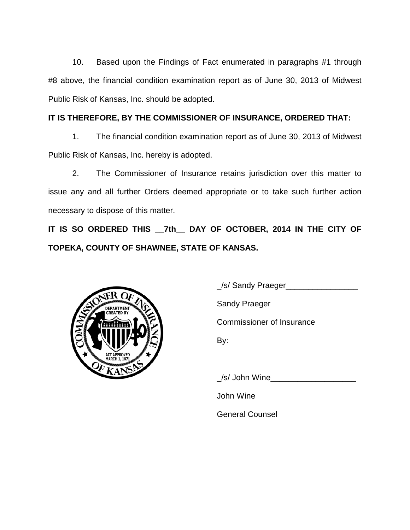10. Based upon the Findings of Fact enumerated in paragraphs #1 through #8 above, the financial condition examination report as of June 30, 2013 of Midwest Public Risk of Kansas, Inc. should be adopted.

## **IT IS THEREFORE, BY THE COMMISSIONER OF INSURANCE, ORDERED THAT:**

1. The financial condition examination report as of June 30, 2013 of Midwest Public Risk of Kansas, Inc. hereby is adopted.

2. The Commissioner of Insurance retains jurisdiction over this matter to issue any and all further Orders deemed appropriate or to take such further action necessary to dispose of this matter.

**IT IS SO ORDERED THIS \_\_7th\_\_ DAY OF OCTOBER, 2014 IN THE CITY OF TOPEKA, COUNTY OF SHAWNEE, STATE OF KANSAS.**



\_/s/ Sandy Praeger\_\_\_\_\_\_\_\_\_\_\_\_\_\_\_\_ Sandy Praeger Commissioner of Insurance By:

\_/s/ John Wine\_\_\_\_\_\_\_\_\_\_\_\_\_\_\_\_\_\_\_

John Wine

General Counsel